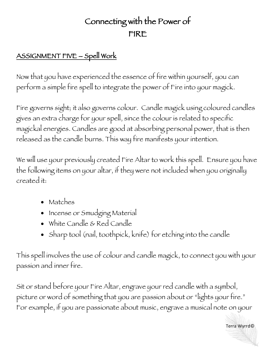## Connecting with the Power of FIRE

## ASSIGNMENT FIVE – Spell Work

Now that you have experienced the essence of fire within yourself, you can perform a simple fire spell to integrate the power of Fire into your magick.

Fire governs sight; it also governs colour. Candle magick using coloured candles gives an extra charge for your spell, since the colour is related to specific magickal energies. Candles are good at absorbing personal power, that is then released as the candle burns. This way fire manifests your intention.

We will use your previously created Fire Altar to work this spell. Ensure you have the following items on your altar, if they were not included when you originally created it:

- Matches
- Incense or Smudging Material
- White Candle & Red Candle
- Sharp tool (nail, toothpick, knife) for etching into the candle

This spell involves the use of colour and candle magick, to connect you with your passion and inner fire.

Sit or stand before your Fire Altar, engrave your red candle with a symbol, picture or word of something that you are passion about or "lights your fire." For example, if you are passionate about music, engrave a musical note on your

Terra Wyrrd©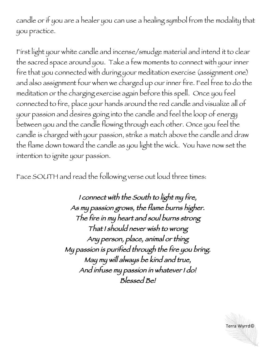candle or if you are a healer you can use a healing symbol from the modality that you practice.

First light your white candle and incense/smudge material and intend it to clear the sacred space around you. Take a few moments to connect with your inner fire that you connected with during your meditation exercise (assignment one) and also assignment four when we charged up our inner fire. Feel free to do the meditation or the charging exercise again before this spell. Once you feel connected to fire, place your hands around the red candle and visualize all of your passion and desires going into the candle and feel the loop of energy between you and the candle flowing through each other. Once you feel the candle is charged with your passion, strike a match above the candle and draw the flame down toward the candle as you light the wick. You have now set the intention to ignite your passion.

Face SOUTH and read the following verse out loud three times:

I connect with the South to light my fire, As my passion grows, the flame burns higher. The fire in my heart and soul burns strong That I should never wish to wrong Any person, place, animal or thing My passion is purified through the fire you bring. May my will always be kind and true, And infuse my passion in whatever I do! Blessed Be!